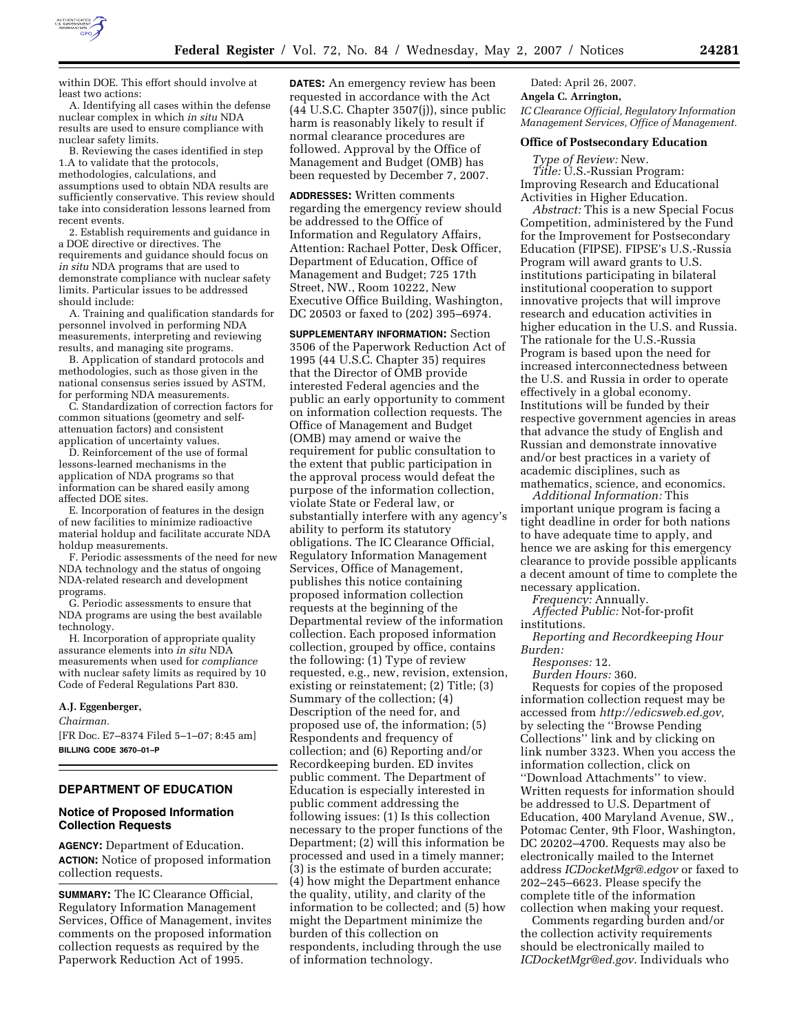

within DOE. This effort should involve at least two actions:

A. Identifying all cases within the defense nuclear complex in which *in situ* NDA results are used to ensure compliance with nuclear safety limits.

B. Reviewing the cases identified in step 1.A to validate that the protocols, methodologies, calculations, and assumptions used to obtain NDA results are sufficiently conservative. This review should take into consideration lessons learned from recent events.

2. Establish requirements and guidance in a DOE directive or directives. The requirements and guidance should focus on *in situ* NDA programs that are used to demonstrate compliance with nuclear safety limits. Particular issues to be addressed should include:

A. Training and qualification standards for personnel involved in performing NDA measurements, interpreting and reviewing results, and managing site programs.

B. Application of standard protocols and methodologies, such as those given in the national consensus series issued by ASTM, for performing NDA measurements.

C. Standardization of correction factors for common situations (geometry and selfattenuation factors) and consistent application of uncertainty values.

D. Reinforcement of the use of formal lessons-learned mechanisms in the application of NDA programs so that information can be shared easily among affected DOE sites.

E. Incorporation of features in the design of new facilities to minimize radioactive material holdup and facilitate accurate NDA holdup measurements.

F. Periodic assessments of the need for new NDA technology and the status of ongoing NDA-related research and development programs.

G. Periodic assessments to ensure that NDA programs are using the best available technology.

H. Incorporation of appropriate quality assurance elements into *in situ* NDA measurements when used for *compliance*  with nuclear safety limits as required by 10 Code of Federal Regulations Part 830.

#### **A.J. Eggenberger,**

*Chairman.* 

[FR Doc. E7–8374 Filed 5–1–07; 8:45 am] **BILLING CODE 3670–01–P** 

## **DEPARTMENT OF EDUCATION**

### **Notice of Proposed Information Collection Requests**

**AGENCY:** Department of Education. **ACTION:** Notice of proposed information collection requests.

**SUMMARY:** The IC Clearance Official, Regulatory Information Management Services, Office of Management, invites comments on the proposed information collection requests as required by the Paperwork Reduction Act of 1995.

**DATES:** An emergency review has been requested in accordance with the Act (44 U.S.C. Chapter 3507(j)), since public harm is reasonably likely to result if normal clearance procedures are followed. Approval by the Office of Management and Budget (OMB) has been requested by December 7, 2007.

**ADDRESSES:** Written comments regarding the emergency review should be addressed to the Office of Information and Regulatory Affairs, Attention: Rachael Potter, Desk Officer, Department of Education, Office of Management and Budget; 725 17th Street, NW., Room 10222, New Executive Office Building, Washington, DC 20503 or faxed to (202) 395–6974.

**SUPPLEMENTARY INFORMATION:** Section 3506 of the Paperwork Reduction Act of 1995 (44 U.S.C. Chapter 35) requires that the Director of OMB provide interested Federal agencies and the public an early opportunity to comment on information collection requests. The Office of Management and Budget (OMB) may amend or waive the requirement for public consultation to the extent that public participation in the approval process would defeat the purpose of the information collection, violate State or Federal law, or substantially interfere with any agency's ability to perform its statutory obligations. The IC Clearance Official, Regulatory Information Management Services, Office of Management, publishes this notice containing proposed information collection requests at the beginning of the Departmental review of the information collection. Each proposed information collection, grouped by office, contains the following: (1) Type of review requested, e.g., new, revision, extension, existing or reinstatement; (2) Title; (3) Summary of the collection; (4) Description of the need for, and proposed use of, the information; (5) Respondents and frequency of collection; and (6) Reporting and/or Recordkeeping burden. ED invites public comment. The Department of Education is especially interested in public comment addressing the following issues: (1) Is this collection necessary to the proper functions of the Department; (2) will this information be processed and used in a timely manner; (3) is the estimate of burden accurate; (4) how might the Department enhance the quality, utility, and clarity of the information to be collected; and (5) how might the Department minimize the burden of this collection on respondents, including through the use of information technology.

Dated: April 26, 2007.

**Angela C. Arrington,** 

*IC Clearance Official, Regulatory Information Management Services, Office of Management.* 

#### **Office of Postsecondary Education**

*Type of Review:* New. *Title: U.S.-Russian Program:* Improving Research and Educational Activities in Higher Education.

*Abstract:* This is a new Special Focus Competition, administered by the Fund for the Improvement for Postsecondary Education (FIPSE). FIPSE's U.S.-Russia Program will award grants to U.S. institutions participating in bilateral institutional cooperation to support innovative projects that will improve research and education activities in higher education in the U.S. and Russia. The rationale for the U.S.-Russia Program is based upon the need for increased interconnectedness between the U.S. and Russia in order to operate effectively in a global economy. Institutions will be funded by their respective government agencies in areas that advance the study of English and Russian and demonstrate innovative and/or best practices in a variety of academic disciplines, such as mathematics, science, and economics.

*Additional Information:* This important unique program is facing a tight deadline in order for both nations to have adequate time to apply, and hence we are asking for this emergency clearance to provide possible applicants a decent amount of time to complete the necessary application.

*Frequency:* Annually.

*Affected Public:* Not-for-profit institutions.

*Reporting and Recordkeeping Hour Burden:* 

*Responses:* 12.

*Burden Hours:* 360.

Requests for copies of the proposed information collection request may be accessed from *http://edicsweb.ed.gov,*  by selecting the ''Browse Pending Collections'' link and by clicking on link number 3323. When you access the information collection, click on ''Download Attachments'' to view. Written requests for information should be addressed to U.S. Department of Education, 400 Maryland Avenue, SW., Potomac Center, 9th Floor, Washington, DC 20202–4700. Requests may also be electronically mailed to the Internet address *ICDocketMgr@.edgov* or faxed to 202–245–6623. Please specify the complete title of the information collection when making your request.

Comments regarding burden and/or the collection activity requirements should be electronically mailed to *ICDocketMgr@ed.gov*. Individuals who